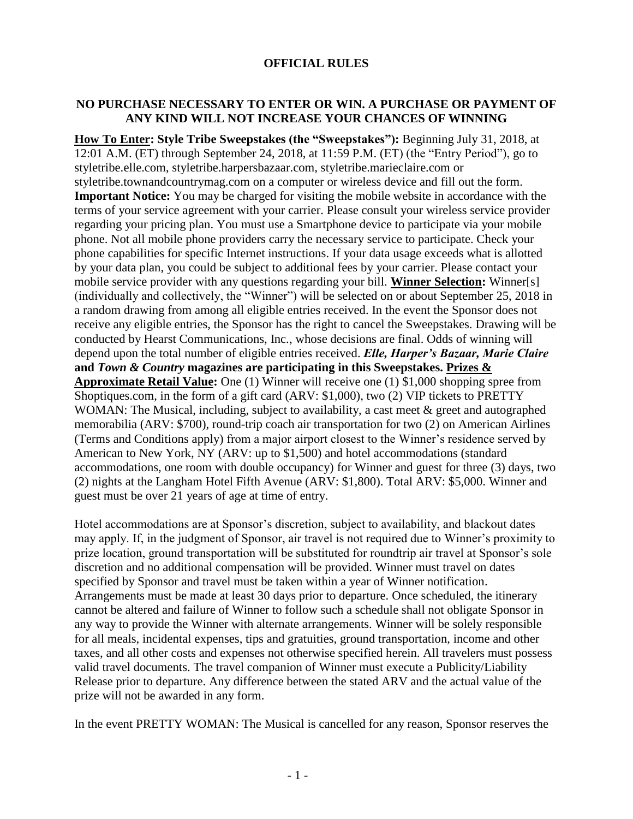## **OFFICIAL RULES**

## **NO PURCHASE NECESSARY TO ENTER OR WIN. A PURCHASE OR PAYMENT OF ANY KIND WILL NOT INCREASE YOUR CHANCES OF WINNING**

**How To Enter: Style Tribe Sweepstakes (the "Sweepstakes"):** Beginning July 31, 2018, at 12:01 A.M. (ET) through September 24, 2018, at 11:59 P.M. (ET) (the "Entry Period"), go to styletribe.elle.com, styletribe.harpersbazaar.com, styletribe.marieclaire.com or styletribe.townandcountrymag.com on a computer or wireless device and fill out the form. **Important Notice:** You may be charged for visiting the mobile website in accordance with the terms of your service agreement with your carrier. Please consult your wireless service provider regarding your pricing plan. You must use a Smartphone device to participate via your mobile phone. Not all mobile phone providers carry the necessary service to participate. Check your phone capabilities for specific Internet instructions. If your data usage exceeds what is allotted by your data plan, you could be subject to additional fees by your carrier. Please contact your mobile service provider with any questions regarding your bill. **Winner Selection:** Winner[s] (individually and collectively, the "Winner") will be selected on or about September 25, 2018 in a random drawing from among all eligible entries received. In the event the Sponsor does not receive any eligible entries, the Sponsor has the right to cancel the Sweepstakes. Drawing will be conducted by Hearst Communications, Inc., whose decisions are final. Odds of winning will depend upon the total number of eligible entries received. *Elle, Harper's Bazaar, Marie Claire* **and** *Town & Country* **magazines are participating in this Sweepstakes. Prizes & Approximate Retail Value:** One (1) Winner will receive one (1) \$1,000 shopping spree from Shoptiques.com, in the form of a gift card (ARV: \$1,000), two (2) VIP tickets to PRETTY WOMAN: The Musical, including, subject to availability, a cast meet & greet and autographed memorabilia (ARV: \$700), round-trip coach air transportation for two (2) on American Airlines (Terms and Conditions apply) from a major airport closest to the Winner's residence served by American to New York, NY (ARV: up to \$1,500) and hotel accommodations (standard accommodations, one room with double occupancy) for Winner and guest for three (3) days, two (2) nights at the Langham Hotel Fifth Avenue (ARV: \$1,800). Total ARV: \$5,000. Winner and guest must be over 21 years of age at time of entry.

Hotel accommodations are at Sponsor's discretion, subject to availability, and blackout dates may apply. If, in the judgment of Sponsor, air travel is not required due to Winner's proximity to prize location, ground transportation will be substituted for roundtrip air travel at Sponsor's sole discretion and no additional compensation will be provided. Winner must travel on dates specified by Sponsor and travel must be taken within a year of Winner notification. Arrangements must be made at least 30 days prior to departure. Once scheduled, the itinerary cannot be altered and failure of Winner to follow such a schedule shall not obligate Sponsor in any way to provide the Winner with alternate arrangements. Winner will be solely responsible for all meals, incidental expenses, tips and gratuities, ground transportation, income and other taxes, and all other costs and expenses not otherwise specified herein. All travelers must possess valid travel documents. The travel companion of Winner must execute a Publicity/Liability Release prior to departure. Any difference between the stated ARV and the actual value of the prize will not be awarded in any form.

In the event PRETTY WOMAN: The Musical is cancelled for any reason, Sponsor reserves the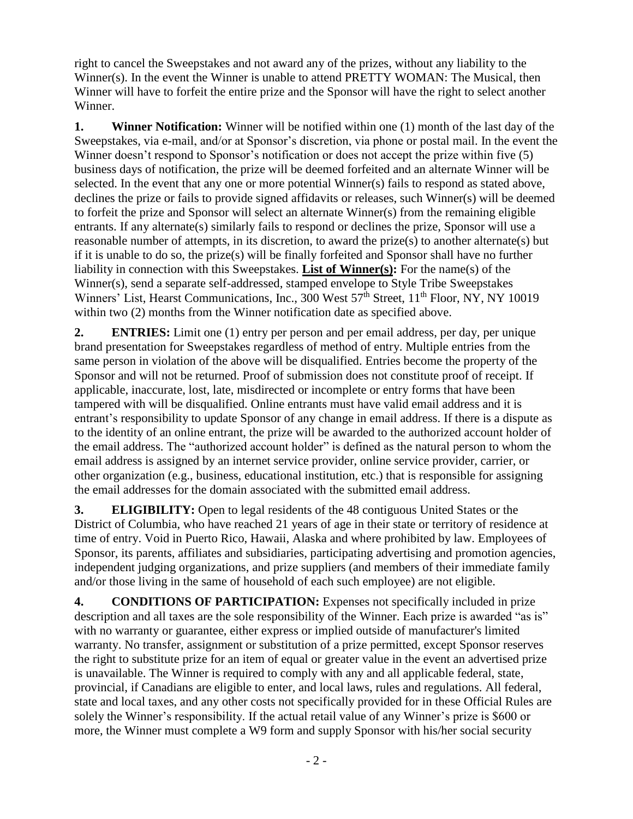right to cancel the Sweepstakes and not award any of the prizes, without any liability to the Winner(s). In the event the Winner is unable to attend PRETTY WOMAN: The Musical, then Winner will have to forfeit the entire prize and the Sponsor will have the right to select another Winner.

**1. Winner Notification:** Winner will be notified within one (1) month of the last day of the Sweepstakes, via e-mail, and/or at Sponsor's discretion, via phone or postal mail. In the event the Winner doesn't respond to Sponsor's notification or does not accept the prize within five (5) business days of notification, the prize will be deemed forfeited and an alternate Winner will be selected. In the event that any one or more potential Winner(s) fails to respond as stated above, declines the prize or fails to provide signed affidavits or releases, such Winner(s) will be deemed to forfeit the prize and Sponsor will select an alternate Winner(s) from the remaining eligible entrants. If any alternate(s) similarly fails to respond or declines the prize, Sponsor will use a reasonable number of attempts, in its discretion, to award the prize(s) to another alternate(s) but if it is unable to do so, the prize(s) will be finally forfeited and Sponsor shall have no further liability in connection with this Sweepstakes. **List of Winner(s):** For the name(s) of the Winner(s), send a separate self-addressed, stamped envelope to Style Tribe Sweepstakes Winners' List, Hearst Communications, Inc., 300 West 57<sup>th</sup> Street, 11<sup>th</sup> Floor, NY, NY 10019 within two  $(2)$  months from the Winner notification date as specified above.

**2. ENTRIES:** Limit one (1) entry per person and per email address, per day, per unique brand presentation for Sweepstakes regardless of method of entry. Multiple entries from the same person in violation of the above will be disqualified. Entries become the property of the Sponsor and will not be returned. Proof of submission does not constitute proof of receipt. If applicable, inaccurate, lost, late, misdirected or incomplete or entry forms that have been tampered with will be disqualified. Online entrants must have valid email address and it is entrant's responsibility to update Sponsor of any change in email address. If there is a dispute as to the identity of an online entrant, the prize will be awarded to the authorized account holder of the email address. The "authorized account holder" is defined as the natural person to whom the email address is assigned by an internet service provider, online service provider, carrier, or other organization (e.g., business, educational institution, etc.) that is responsible for assigning the email addresses for the domain associated with the submitted email address.

**3. ELIGIBILITY:** Open to legal residents of the 48 contiguous United States or the District of Columbia, who have reached 21 years of age in their state or territory of residence at time of entry. Void in Puerto Rico, Hawaii, Alaska and where prohibited by law. Employees of Sponsor, its parents, affiliates and subsidiaries, participating advertising and promotion agencies, independent judging organizations, and prize suppliers (and members of their immediate family and/or those living in the same of household of each such employee) are not eligible.

**4. CONDITIONS OF PARTICIPATION:** Expenses not specifically included in prize description and all taxes are the sole responsibility of the Winner. Each prize is awarded "as is" with no warranty or guarantee, either express or implied outside of manufacturer's limited warranty. No transfer, assignment or substitution of a prize permitted, except Sponsor reserves the right to substitute prize for an item of equal or greater value in the event an advertised prize is unavailable. The Winner is required to comply with any and all applicable federal, state, provincial, if Canadians are eligible to enter, and local laws, rules and regulations. All federal, state and local taxes, and any other costs not specifically provided for in these Official Rules are solely the Winner's responsibility. If the actual retail value of any Winner's prize is \$600 or more, the Winner must complete a W9 form and supply Sponsor with his/her social security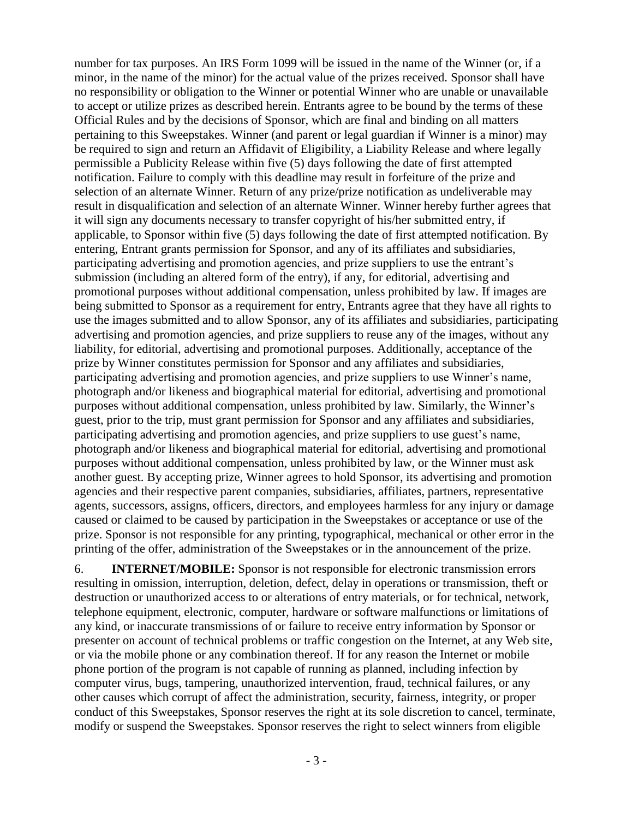number for tax purposes. An IRS Form 1099 will be issued in the name of the Winner (or, if a minor, in the name of the minor) for the actual value of the prizes received. Sponsor shall have no responsibility or obligation to the Winner or potential Winner who are unable or unavailable to accept or utilize prizes as described herein. Entrants agree to be bound by the terms of these Official Rules and by the decisions of Sponsor, which are final and binding on all matters pertaining to this Sweepstakes. Winner (and parent or legal guardian if Winner is a minor) may be required to sign and return an Affidavit of Eligibility, a Liability Release and where legally permissible a Publicity Release within five (5) days following the date of first attempted notification. Failure to comply with this deadline may result in forfeiture of the prize and selection of an alternate Winner. Return of any prize/prize notification as undeliverable may result in disqualification and selection of an alternate Winner. Winner hereby further agrees that it will sign any documents necessary to transfer copyright of his/her submitted entry, if applicable, to Sponsor within five (5) days following the date of first attempted notification. By entering, Entrant grants permission for Sponsor, and any of its affiliates and subsidiaries, participating advertising and promotion agencies, and prize suppliers to use the entrant's submission (including an altered form of the entry), if any, for editorial, advertising and promotional purposes without additional compensation, unless prohibited by law. If images are being submitted to Sponsor as a requirement for entry, Entrants agree that they have all rights to use the images submitted and to allow Sponsor, any of its affiliates and subsidiaries, participating advertising and promotion agencies, and prize suppliers to reuse any of the images, without any liability, for editorial, advertising and promotional purposes. Additionally, acceptance of the prize by Winner constitutes permission for Sponsor and any affiliates and subsidiaries, participating advertising and promotion agencies, and prize suppliers to use Winner's name, photograph and/or likeness and biographical material for editorial, advertising and promotional purposes without additional compensation, unless prohibited by law. Similarly, the Winner's guest, prior to the trip, must grant permission for Sponsor and any affiliates and subsidiaries, participating advertising and promotion agencies, and prize suppliers to use guest's name, photograph and/or likeness and biographical material for editorial, advertising and promotional purposes without additional compensation, unless prohibited by law, or the Winner must ask another guest. By accepting prize, Winner agrees to hold Sponsor, its advertising and promotion agencies and their respective parent companies, subsidiaries, affiliates, partners, representative agents, successors, assigns, officers, directors, and employees harmless for any injury or damage caused or claimed to be caused by participation in the Sweepstakes or acceptance or use of the prize. Sponsor is not responsible for any printing, typographical, mechanical or other error in the printing of the offer, administration of the Sweepstakes or in the announcement of the prize.

6. **INTERNET/MOBILE:** Sponsor is not responsible for electronic transmission errors resulting in omission, interruption, deletion, defect, delay in operations or transmission, theft or destruction or unauthorized access to or alterations of entry materials, or for technical, network, telephone equipment, electronic, computer, hardware or software malfunctions or limitations of any kind, or inaccurate transmissions of or failure to receive entry information by Sponsor or presenter on account of technical problems or traffic congestion on the Internet, at any Web site, or via the mobile phone or any combination thereof. If for any reason the Internet or mobile phone portion of the program is not capable of running as planned, including infection by computer virus, bugs, tampering, unauthorized intervention, fraud, technical failures, or any other causes which corrupt of affect the administration, security, fairness, integrity, or proper conduct of this Sweepstakes, Sponsor reserves the right at its sole discretion to cancel, terminate, modify or suspend the Sweepstakes. Sponsor reserves the right to select winners from eligible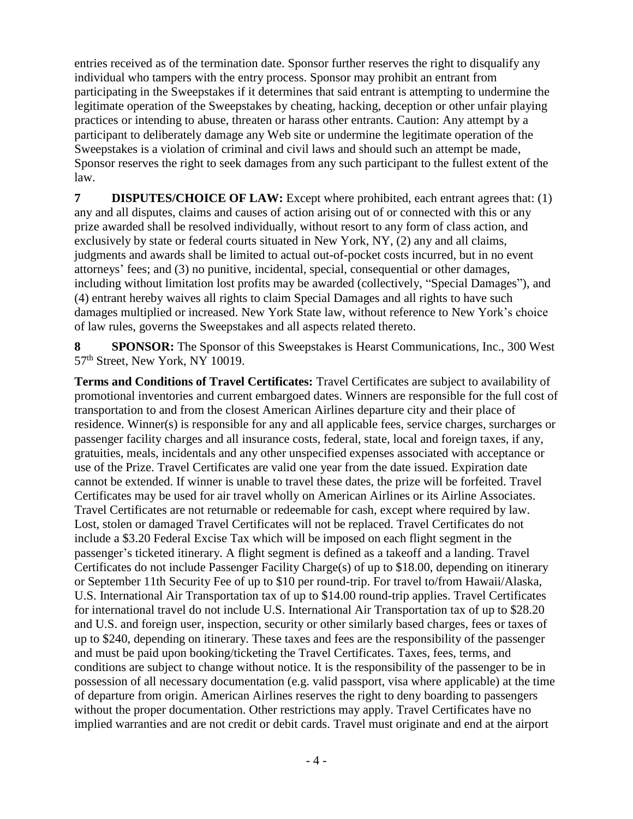entries received as of the termination date. Sponsor further reserves the right to disqualify any individual who tampers with the entry process. Sponsor may prohibit an entrant from participating in the Sweepstakes if it determines that said entrant is attempting to undermine the legitimate operation of the Sweepstakes by cheating, hacking, deception or other unfair playing practices or intending to abuse, threaten or harass other entrants. Caution: Any attempt by a participant to deliberately damage any Web site or undermine the legitimate operation of the Sweepstakes is a violation of criminal and civil laws and should such an attempt be made, Sponsor reserves the right to seek damages from any such participant to the fullest extent of the law.

**7 DISPUTES/CHOICE OF LAW:** Except where prohibited, each entrant agrees that: (1) any and all disputes, claims and causes of action arising out of or connected with this or any prize awarded shall be resolved individually, without resort to any form of class action, and exclusively by state or federal courts situated in New York, NY, (2) any and all claims, judgments and awards shall be limited to actual out-of-pocket costs incurred, but in no event attorneys' fees; and (3) no punitive, incidental, special, consequential or other damages, including without limitation lost profits may be awarded (collectively, "Special Damages"), and (4) entrant hereby waives all rights to claim Special Damages and all rights to have such damages multiplied or increased. New York State law, without reference to New York's choice of law rules, governs the Sweepstakes and all aspects related thereto.

**8 SPONSOR:** The Sponsor of this Sweepstakes is Hearst Communications, Inc., 300 West 57<sup>th</sup> Street, New York, NY 10019.

**Terms and Conditions of Travel Certificates:** Travel Certificates are subject to availability of promotional inventories and current embargoed dates. Winners are responsible for the full cost of transportation to and from the closest American Airlines departure city and their place of residence. Winner(s) is responsible for any and all applicable fees, service charges, surcharges or passenger facility charges and all insurance costs, federal, state, local and foreign taxes, if any, gratuities, meals, incidentals and any other unspecified expenses associated with acceptance or use of the Prize. Travel Certificates are valid one year from the date issued. Expiration date cannot be extended. If winner is unable to travel these dates, the prize will be forfeited. Travel Certificates may be used for air travel wholly on American Airlines or its Airline Associates. Travel Certificates are not returnable or redeemable for cash, except where required by law. Lost, stolen or damaged Travel Certificates will not be replaced. Travel Certificates do not include a \$3.20 Federal Excise Tax which will be imposed on each flight segment in the passenger's ticketed itinerary. A flight segment is defined as a takeoff and a landing. Travel Certificates do not include Passenger Facility Charge(s) of up to \$18.00, depending on itinerary or September 11th Security Fee of up to \$10 per round-trip. For travel to/from Hawaii/Alaska, U.S. International Air Transportation tax of up to \$14.00 round-trip applies. Travel Certificates for international travel do not include U.S. International Air Transportation tax of up to \$28.20 and U.S. and foreign user, inspection, security or other similarly based charges, fees or taxes of up to \$240, depending on itinerary. These taxes and fees are the responsibility of the passenger and must be paid upon booking/ticketing the Travel Certificates. Taxes, fees, terms, and conditions are subject to change without notice. It is the responsibility of the passenger to be in possession of all necessary documentation (e.g. valid passport, visa where applicable) at the time of departure from origin. American Airlines reserves the right to deny boarding to passengers without the proper documentation. Other restrictions may apply. Travel Certificates have no implied warranties and are not credit or debit cards. Travel must originate and end at the airport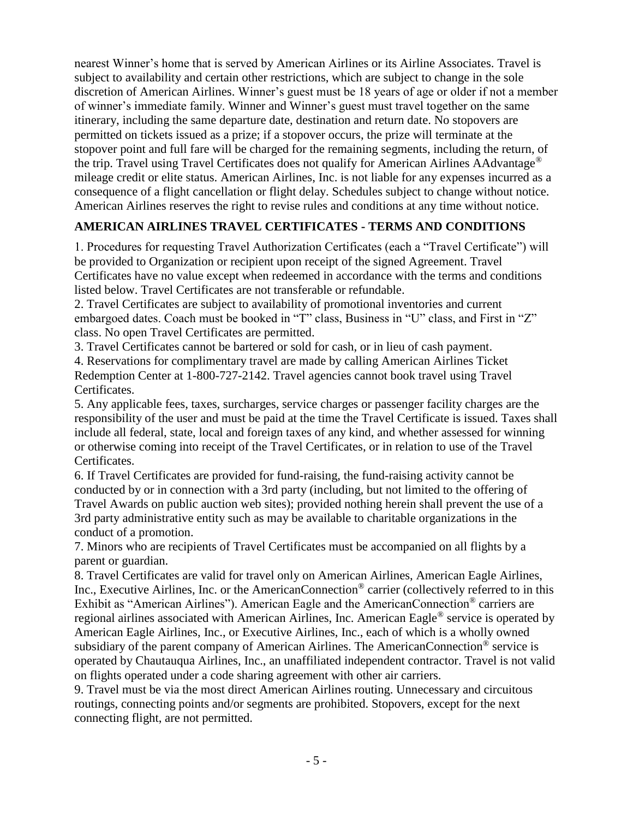nearest Winner's home that is served by American Airlines or its Airline Associates. Travel is subject to availability and certain other restrictions, which are subject to change in the sole discretion of American Airlines. Winner's guest must be 18 years of age or older if not a member of winner's immediate family. Winner and Winner's guest must travel together on the same itinerary, including the same departure date, destination and return date. No stopovers are permitted on tickets issued as a prize; if a stopover occurs, the prize will terminate at the stopover point and full fare will be charged for the remaining segments, including the return, of the trip. Travel using Travel Certificates does not qualify for American Airlines AAdvantage® mileage credit or elite status. American Airlines, Inc. is not liable for any expenses incurred as a consequence of a flight cancellation or flight delay. Schedules subject to change without notice. American Airlines reserves the right to revise rules and conditions at any time without notice.

## **AMERICAN AIRLINES TRAVEL CERTIFICATES - TERMS AND CONDITIONS**

1. Procedures for requesting Travel Authorization Certificates (each a "Travel Certificate") will be provided to Organization or recipient upon receipt of the signed Agreement. Travel Certificates have no value except when redeemed in accordance with the terms and conditions listed below. Travel Certificates are not transferable or refundable.

2. Travel Certificates are subject to availability of promotional inventories and current embargoed dates. Coach must be booked in "T" class, Business in "U" class, and First in "Z" class. No open Travel Certificates are permitted.

3. Travel Certificates cannot be bartered or sold for cash, or in lieu of cash payment.

4. Reservations for complimentary travel are made by calling American Airlines Ticket Redemption Center at 1-800-727-2142. Travel agencies cannot book travel using Travel Certificates.

5. Any applicable fees, taxes, surcharges, service charges or passenger facility charges are the responsibility of the user and must be paid at the time the Travel Certificate is issued. Taxes shall include all federal, state, local and foreign taxes of any kind, and whether assessed for winning or otherwise coming into receipt of the Travel Certificates, or in relation to use of the Travel Certificates.

6. If Travel Certificates are provided for fund-raising, the fund-raising activity cannot be conducted by or in connection with a 3rd party (including, but not limited to the offering of Travel Awards on public auction web sites); provided nothing herein shall prevent the use of a 3rd party administrative entity such as may be available to charitable organizations in the conduct of a promotion.

7. Minors who are recipients of Travel Certificates must be accompanied on all flights by a parent or guardian.

8. Travel Certificates are valid for travel only on American Airlines, American Eagle Airlines, Inc., Executive Airlines, Inc. or the AmericanConnection® carrier (collectively referred to in this Exhibit as "American Airlines"). American Eagle and the AmericanConnection® carriers are regional airlines associated with American Airlines, Inc. American Eagle® service is operated by American Eagle Airlines, Inc., or Executive Airlines, Inc., each of which is a wholly owned subsidiary of the parent company of American Airlines. The AmericanConnection® service is operated by Chautauqua Airlines, Inc., an unaffiliated independent contractor. Travel is not valid on flights operated under a code sharing agreement with other air carriers.

9. Travel must be via the most direct American Airlines routing. Unnecessary and circuitous routings, connecting points and/or segments are prohibited. Stopovers, except for the next connecting flight, are not permitted.